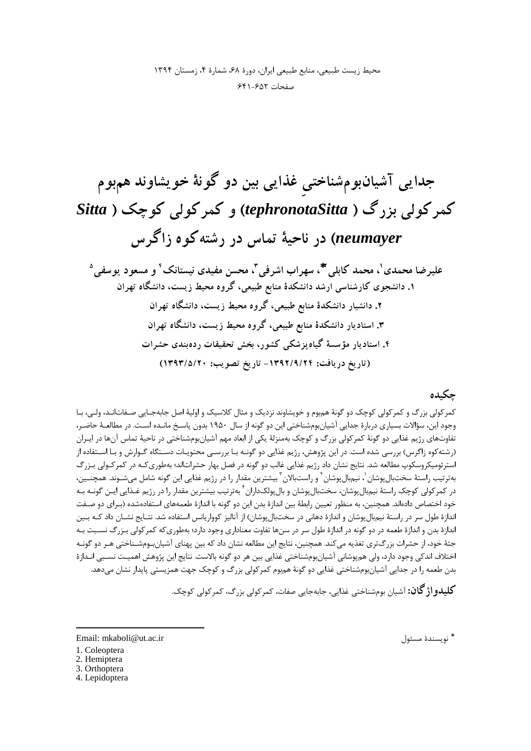### چکىدە

کمرکولی بزرگ و کمرکولی کوچک دو گونۀ هم بوم و خویشاوند نزدیک و مثال کلاسیک و اولیۀ اصل جابهجـایی صـفاتانـد، ولـی، بـا وجود این، سؤالات بسیاری دربارهٔ جدایی آشیانبومشناختی این دو گونه از سال ۱۹۵۰ بدون پاسـخ مانــده اسـت. در مطالعـهٔ حاضـر، تفاوتهای رژیم غذایی دو گونهٔ کمرکولی بزرگ و کوچک بهمنزلهٔ یکی از ابعاد مهم آشیانبومشناختی در ناحیهٔ تماس آنها در ایـران (رشته کوه زاگرس) بررسی شده است. در این پژوهش، رژیم غذایی دو گونـه بـا بررسـی محتویـات دسـتگاه گـوارش و بـا اسـتفاده از استرئومیکروسکوپ مطالعه شد. نتایج نشان داد رژیم غذایی غالب دو گونه در فصل بهار حشراتاند؛ بهطوری کـه در کمرکـولی بـزرگ بهترتیب راستهٔ سختبالپوشان <sup>۱</sup>، نیمبالپوشان <sup>۲</sup> و راستبالان <sup>۳</sup> بیشترین مقدار را در رژیم غذایی این گونه شامل میشـوند. همچنـین، در کمرکولی کوچک راستهٔ نیمٖبالپوشان، سختبالپوشان و بالپولکداران ٔ بهترتیب بیشترین مقدار را در رژیم غـذایی ایـن گونــه بــه .<br>خود اختصاص دادهاند. همچنین، به منظور تعیین رابطهٔ بین اندازهٔ بدن این دو گونه با اندازهٔ طعمههای استفادهشده (بـرای دو صـفت اندازهٔ طول سر در راستهٔ نیم؛ال پوشان و اندازهٔ دهانی در سختبال پوشان) از آنالیز کوواریانس استفاده شد. نتـایج نشــان داد کــه بــین اندازهٔ بدن و اندازهٔ طعمه در دو گونه در اندازهٔ طول سر در سنها تفاوت معناداری وجود دارد؛ بهطوریکه کمرکولی بـزرگ نسـبت بـه جثهٔ خود، از حشرات بزرگ تری تغذیه می کند. همچنین، نتایج این مطالعه نشان داد که بین پهنای آشیان بومشـناختی هـر دو گونـه اختلاف اندكي وجود دارد، ولي همپوشاني آشيانبومشناختي غذايي بين هر دو گونه بالاست. نتايج اين پژوهش اهميـت نسـبي انـدازهٔ بدن طعمه را در جدایی آشیانبومشناختی غذایی دو گونهٔ همبوم کمرکولی بزرگ و کوچک جهت همزیستی پایدار نشان میدهد.

**کلیدو اژ گان:** آشیان بومشناختی غذایی، جابهجایی صفات، کمرکولی بزرگ، کمرکولی کوچک.

4. Lepidoptera

<sup>\*</sup> نويسندهٔ مسئول

Email: mkaboli@ut.ac.ir

<sup>1.</sup> Coleoptera

<sup>2.</sup> Hemiptera

<sup>3.</sup> Orthoptera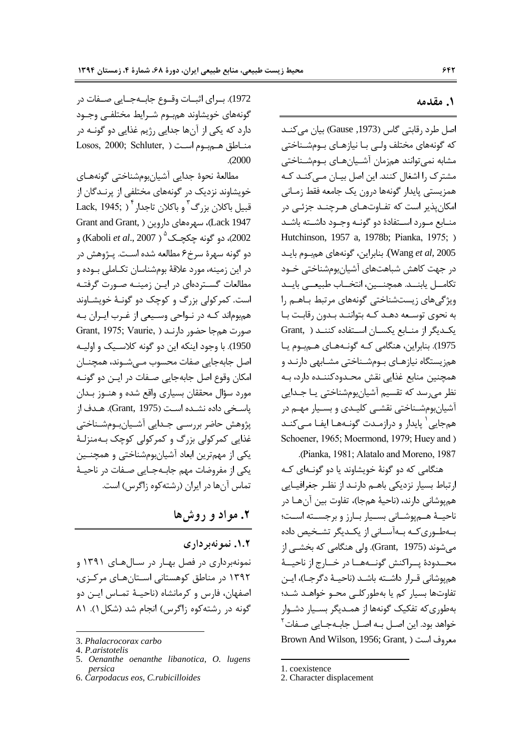#### **1. مقدمه**

اصل طرد رقابتی گاس (1973, Gause) بیان میکنــد كه گونههای مختلف ولـی بـا نیازهـای بـومشـناختی مشابه نمیتوانند همزمان آشـيانهـای بـومشـناختی مشترک را اشغال کنند. این اصل بیـان مـیکنـد کـه همزيستي پايدار گونهها درون يک جامعه فقط زمـاني امکانپذیر است که تفـاوتهـای هـرچنــد جزئـی در منــابع مــورد اســتفادة دو گونــه وجــود داشــته باشــد Hutchinson, 1957 a, 1978b; Pianka, 1975; ) @
5 8,@
34 D4>1,2 C

 .(Wang *et al*, 2005 در جهت كاهش شباهتهاى آشيانبومشناختى خــود تكامــل يابنــد. همچنــين، انتخــاب طبيعــى بايــد ویژگیهای زیستشناختی گونههای مرتبط باهـم را به نحوى توسـعه دهـد كـه بتواننـد بـدون رقابـت بـا یکـدیگر از منــابع یکســان اســتفاده کننــد ( .Grant 1975). بنابراین، هنگامی کـه گونـههـای هـمبـوم یـا همزیستگاه نیازهـای بـومشـناختی مشـابهی دارنـد و همچنین منابع غذایی نقش محـدودکننــده دارد، بــه نظر میرسد که تقسیم آشیانبومشناختی یـا جـدایی آشیانبومشـناختی نقشـی کلیـدی و بسـیار مهـم در <sub>هم</sub>جایی<sup>'</sup> پایدار و درازمـدت گونـههـا ایفـا مـیکنـد Schoener, 1965; Moermond, 1979; Huey and ) ( . Pianka, 1981; Alatalo and Moreno, 1987

هنگامی که دو گونهٔ خویشاوند یا دو گونـهای کـه ارتباط بسيار نزديكي باهـم دارنـد از نظـر جغرافيــايي همپوشانی دارند، (ناحیهٔ همجا)، تفاوت بین آنهـا در ناحیــهٔ هــمپوشــانی بســیار بــارز و برجســته اســت؛ بـهطـوري كــه بــهآســاني از يكــديگر تشــخيص داده مے شوند (Grant, 1975). ولی هنگامی که بخشــی از محــدودۀ يــراكنش گونــههــا در خــارج از ناحيــۀ هم پوشانی قـرار داشـته باشـد (ناحيـهٔ دگرجـا)، ايـن تفاوتها بسيار كم يا بهطور كلبي محبو خواهـد شـد؛ بهطوری که تفکیک گونهها از همـدیگر بسـیار دشـوار خواهد بود. این اصـل بـه اصـل جابـهجـایی صـفات<sup>۲</sup> Brown And Wilson, 1956; Grant, ) معروف است

1972). بــراي اثبــات وقــوع جابــهجــايي صــفات در گونههای خویشاوند همبوم شـرایط مختلفـی وجـود دارد که یکی از آنها جدایی رژیم غذایی دو گونــه در Losos, 2000; Schluter, مناطق هم بوم است ( .(2000

مطالعهٔ نحوهٔ جدایی آشیانبومشناختی گونههـای خویشاوند نزدیک در گونههای مختلفی از پرنـدگان از قبيل باكلان بزرگ <sup>۳</sup> و باكلان تاجدار <sup>۴</sup> ( Lack, 1945; Grant and Grant, ) سهر مهای داروین ( .Grant and Grant, 2002)، دو گونه چکچـک<sup>۵</sup> ( Kaboli *et al*., 2007) و دو گونه سهرهٔ سرخ۶ مطالعه شده اسـت. پـژوهش در در این زمینه، مورد علاقهٔ بومشناسان تکـاملی بـوده و مطالعات گسـتردهاي در ايـن زمينــه صـورت گرفتــه است. کمر کولی بزرگ و کوچک دو گونـهٔ خویشـاوند همبوماند کـه در نــواحي وســيعي از غــرب ايــران بــه Grant, 1975; Vaurie, ) حضور دارنـد 1950). با وجود اينكه اين دو گونه كلاسـيک و اوليــه اصل جابهجايي صفات محسوب مـيشــوند، همچنــان امکان وقوع اصل جابهجایی صـفات در ایــن دو گونــه مورد سؤال محققان بسياري واقع شده و هنــوز بــدان ياسـخى داده نشـده اسـت (Grant, 1975). هـدف از پژوهش حاضر بررسـي جـدايي آشـيانبـومشـناختي غذایی کمرکولی بزرگ و کمرکولی کوچک بـهمنزلـهٔ یکی از مهمترین ابعاد آشیانبومشناختی و همچنـین یکی از مفروضات مهم جابـهجـایی صـفات در ناحیـهٔ تماس آنها در ایران (رشتهکوه زاگرس) است.

## **1.** مواد و روش ها

 **/",
 . 1 . 2** نمونهبرداری در فصل بهبار در سبالهبای ۱۳۹۱ و ۱۳۹۲ در مناطق کوهستانی اسـتانهـای مرکـزی،

اصفهان، فارس و كرمانشاه (ناحيــهٔ تمــاس ايــن دو گونه در رشته کوه زاگرس) انجام شد (شکل ۱). ۸۱

 $\overline{a}$ 

 $\overline{a}$ 

<sup>3.</sup> *Phalacrocorax carbo*

<sup>4.</sup> *P.aristotelis*

<sup>5.</sup> *Oenanthe oenanthe libanotica*, *O. lugens persica*

<sup>6.</sup> *Carpodacus eos*, *C.rubicilloides*

<sup>1.</sup> coexistence

<sup>2.</sup> Character displacement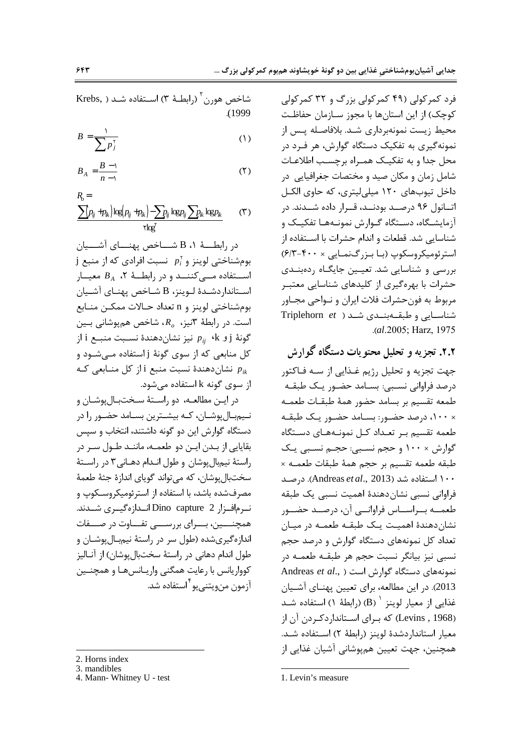فرد کمرکولی (۴۹ کمرکولی بزرگ و ۳۲ کمرکولی كوچک) از اين استانها با مجوز سـازمان حفاظـت محیط زیست نمونهبرداری شـد. بلافاصـله پـس از نمونه گیری به تفکیک دستگاه گوارش، هر فـرد در محل جدا و به تفکیـک همـراه برچسـب اطلاعـات شامل زمان و مکان صید و مختصات جغرافیایی در داخل تيوبهاي ١٢٠ ميلي ليتري، كه حاوي الكـل اتــانول ۹۶ درصــد بودنــد، قــرار داده شــدند. در آزمایشگاه، دسـتگاه گـوارش نمونـههـا تفکیـک و شناسایی شد. قطعات و اندام حشرات با استفاده از استرئوميكروسكوپ (با بزرگنمايي × ۴۰۰-۶/۳) بررسی و شناسایی شد. تعیـین جایگـاه ردهبنـدی حشرات با بهرهگیری از کلیدهای شناسایی معتبـر مربوط به فونحشرات فلات ايران و نــواحي مجــاور شناســایی و طبقــهبنــدی شــد ( Triplehorn *et* .( *al*.2005; Harz, 1975

**۲.۲.** تجزیه و تحلیل محتویات دستگاه گوارش جهت تجزيه و تحليل رژيم غـذايي از سـه فـاكتور درصد فراوانی نسـبی: بسـامد حضـور یـک طبقـه طمعه تقسيم بر بسامد حضور همهٔ طبقـات طعمــه × ۱۰۰، درصد حضـور: بسـامد حضـور یـک طبقـه طعمه تقسیم بـر تعـداد کـل نمونـههـای دسـتگاه گوارش × ۱۰۰ و حجم نسـبي: حجـم نسـبي يـک طبقه طعمه تقسيم بر حجم همهٔ طبقات طعمـه × 5@% .(Andreas *et al*., 2013) 100 5 G\$9 فراوانی نسبی نشان دهندهٔ اهمیت نسبی یک طبقه طعمــه بــراســـاس فراوانـــى آن، درصــد حضـــور نشان دهندهٔ اهمیـت یـک طبقـه طعمـه در میـان تعداد کل نمونههای دستگاه گوارش و درصد حجم نسبی نیز بیانگر نسبت حجم هر طبقـه طعمـه در نمونههای دستگاه گوا<sub>د</sub>ش است ( Andreas *et al.,* 2013). در این مطالعه، برای تعیین پهنـای آشـیان غذایی از معیار لوینز <sup>۱</sup> (B) (رابطهٔ ۱) استفاده شـد (Levins , 1968) كه بـراي اســتانداردكـردن آن از معيار استاندار دشدة لوينز (رابطة ٢) استفاده شـد. همچنین، جهت تعیین همپوشانی آشیان غذایی از  $\overline{a}$ 

1. Levin's measure

شاخص هورن<sup>۲</sup> (رابطـهٔ ۳) اســتفاده شــد ( ,Krebs . (1999

$$
B = \frac{1}{\sum p_j^{\tau}} \tag{1}
$$

$$
B_A = \frac{B - 1}{n - 1} \tag{7}
$$

$$
R_{\!o} =
$$

$$
\frac{\sum (p_{ij} + p_{ik}) \log (p_{ij} + p_{ik}) - \sum p_{ij} \log p_{ij} \sum p_{ik} \log p_{ik}}{\text{rlog}^{\text{r}}} \tag{7}
$$

در رابطـــهٔ ۱، B شــــاخص پهنــــاى آشــــيان  $\mathfrak j$  بومشناختی لوینز و  $p_i^\curlyvee$  نسبت افرادی که از منبع j اســتفاده مــىكننــد و در رابطــهٔ ۲، B<sub>A</sub> معيــار اسـتانداردشـدهٔ لـوينز، B شـاخص پهنـاى آشـيان بومشناختي لوينز و n تعداد حـالات ممكـن منـابع  $\mathsf{L}$ است. در رابطهٔ ۳نیز،  $R_o$ ، شاخص همپوشانی بـین  $i$  و i بیز نشاندهندهٔ نسـبت منبــع i از $p_{ij}$  ،  $k$  و j کل منابعی که از سوی گونهٔ j استفاده مـیشـود و نشاندهندهٔ نسبت منبع i از کل منــابعی کــه  $p_{ik}$ از سوی گونه k استفاده می شود.

در ايـن مطالعــه، دو راســتهٔ سـختبــالپوشــان و نـیم.بـالپوشـان، کـه بیشـترین بسـامد حضـور را در دستگاه گوارش این دو گونه داشتند، انتخاب و سپس بقایایی از بـدن ایـن دو طعمـه، ماننـد طـول سـر در راستهٔ نیم.بالپوشان و طول انـدام دهـانی۳ در راسـتهٔ سختبالپوشان، که میتواند گویای اندازهٔ جثهٔ طعمهٔ مصرفشده باشد، با استفاده از استرئومیکروسـکوپ و نـرمافـزار Dino capture 2 انـدازهگیـری شـدند. همچنـــین، بـــرای بررســـی تفـــاوت در صـــفات اندازهگیریشده (طول سر در راستهٔ نیمٖبـالپوشـان و طول اندام دهانی در راستهٔ سختبالپوشان) از آنـاليز کوواریانس با رعایت همگنی واریـانسهـا و همچنـین آزمون منويتنىيو<sup>۴</sup>استفاده شد.

2. Horns index

 $\overline{a}$ 

3. mandibles

<sup>4.</sup> Mann- Whitney U - test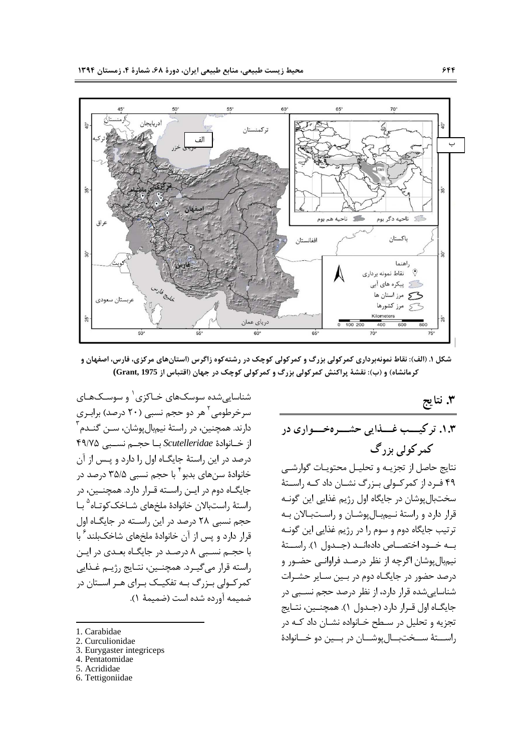

شکل ۱. (الف): نقاط نمونهبرداري کمرکولي بزرگ و کمرکولي کوچک در رشتهکوه زاگرس (استانهاي مرکزي، فارس، اصفهان و کرمانشاه) و (ب): نقشهٔ پراکنش کمرکولی بزرگ و کمرکولی کوچک در جهان (اقتباس از Grant, 1975)

**] 3 .**

۰۱.۳. تر کیـــب غــــذایی حشــــرهخــــواری در کمر کولی بزر گ

نتايج حاصل از تجزيــه و تحليــل محتويــات گوارشــى ۴۹ فـرد از كمركـولي بـزرگ نشـان داد كـه راسـتهٔ سختبالپوشان در جايگاه اول رژيم غذايي اين گونـه قرار دارد و راستهٔ نیمبالپوشـان و راسـتبـالان بـه ترتیب جایگاه دوم و سوم را در رژیم غذایی این گونـه بــه خــود اختصــاص دادهانــد (جــدول ۱). راســتهٔ نیم.بال پوشان اگرچه از نظر درصـد فراوانـی حضـور و درصد حضور در جایگـاه دوم در بـین سـایر حشـرات شناساییشده قرار دارد، از نظر درصد حجم نسـبی در جايگـاه اول قـرار دارد (جـدول ١). همچنـين، نتـايج تجزیه و تحلیل در سـطح خـانواده نشـان داد کـه در راســـتهٔ ســـختبـــالپوشـــان در بـــين دو خـــانوادهٔ

شناساییشده سوسکهای خـاکزی <sup>۱</sup> و سوسـکـهـای سرخرطومی<sup>۲</sup> هر دو حجم نسبی (۲۰ درصد) برابـری دارند. همچنین، در راستهٔ نیمٖبالپوشان، ســن گنــدم <sup>۳</sup> از خــانوادة Scutelleridae بــا حجــم نســبي ۴۹/۷۵ درصد در این راستهٔ جایگـاه اول را دارد و پـس از آن خانوادهٔ سنهای بدبو<sup>۴</sup> با حجم نسبی ۳۵/۵ درصد در جایگـاه دوم در ایـن راسـته قـرار دارد. همچنـین، در راستهٔ راستبالان خانوادهٔ ملخهای شــاخک *ک*وتــاه <sup>۵</sup> بــا حجم نسبی ٢٨ درصد در اين راسـته در جايگـاه اول قرار دارد و پس از آن خانوادهٔ ملخهای شاخکبلند<sup>۶</sup> با با حجـم نسـبي ٨ درصـد در جايگــاه بعــدي در ايــن راسته قرار مي گيـرد. همچنــين، نتـايج رژيــم غــذايي کمرکــولی بــزرگ بــه تفکیــک بــرای هــر اســتان در ضميمه آورده شده است (ضميمة ١).

1. Carabidae

 $\overline{a}$ 

- 2. Curculionidae
- 3. Eurygaster integriceps
- 4. Pentatomidae
- 5. Acrididae
- 6. Tettigoniidae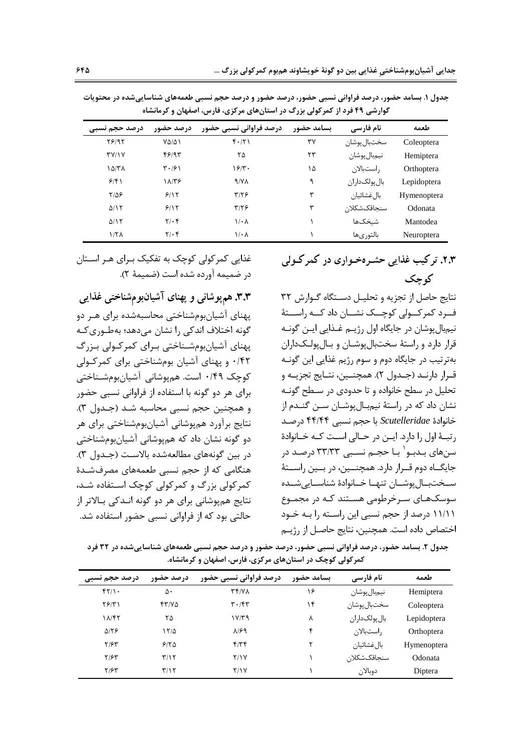| درصد حجم تسبی | درصد حضور                     | درصد فراوانی نسبی حضور | بسامد حضور | نام فارسی     | طعمه               |
|---------------|-------------------------------|------------------------|------------|---------------|--------------------|
| 78197         | $Y\Delta/\Delta$              | $f \cdot  Y $          | ٣٧         | سختبال يوشان  | Coleoptera         |
| $T$ $V$ $N$   | ۴۶۱۹۳                         | ۲۵                     | ۲۳         | نيمبال پوشان  | Hemiptera          |
| ۱۵/۳۸         | $\mathbf{r} \cdot \mathbf{r}$ | 18/T                   | ۱۵         | راستبالان     | Orthoptera         |
| 9/51          | 18/78                         | $4/\gamma\Lambda$      | ٩          | بال پولکداران | Lepidoptera        |
| $Y/\Delta P$  | 9/15                          | $\frac{9}{5}$          | ٣          | بالءضشائيان   | <b>Hymenoptera</b> |
| $\Delta/15$   | 9/15                          | $\tau/\tau$ ۶          | ٣          | سنجاقکشکلان   | Odonata            |
| $\Delta/15$   | $\mathbf{Y}/\cdot\mathbf{f}$  | $1/\cdot \Lambda$      |            | شىخكھا        | Mantodea           |
| $1/7\Lambda$  | $Y/\cdot$ ۴                   | $1/\cdot \Lambda$      |            | بالتورىها     | <b>Neuroptera</b>  |

جدول ۱. بسامد حضور، درصد فراوانی نسبی حضور، درصد حضور و درصد حجم نسبی طعمههای شناسایی شده در محتویات گوارشی ۴۹ فرد از کمرکولی بزرگ در استانهای مرکزی، فارس، اصفهان و کرمانشاه

غذایی کمرکولی کوچک به تفکیک بـرای هـر اســتان در ضميمه آورده شده است (ضميمهٔ ٢).

**۳.۳. هم**پوشانی و پهنای آشیانبومشناختی غذایی پهنای آشیانبومشناختی محاسبهشده برای هـر دو گونه اختلاف اندکی را نشان میدهد؛ بهطـوری کـه پهنای آشیانبومشـناختی بـرای کمرکـولی بـزرگ ۴۲/۰ و پهنای آشیان بومشناختی برای کمرکولی کوچک ۰/۴۹ است. همپوشانی آشیانبومشـناختی برای هر دو گونه با استفاده از فراوانی نسبی حضور و همچنین حجم نسبی محاسبه شـد (جـدول ۳). نتايج برآورد همپوشاني آشيانبومشناختي براي هر دو گونه نشان داد که همپوشانی آشیانبومشناختی در بين گونههاى مطالعهشده بالاست (جـدول ٣). هنگامی که از حجم نسبی طعمههای مصرفشـدهٔ کمر کولی بزرگ و کمر کولی کوچک استفاده شـد، نتایج همپوشانی برای هر دو گونه انـدکی بـالاتر از حالتی بود که از فراوانی نسبی حضور استفاده شد.

# **۲.۳.** تر کیب غذایی حشـرهخـواری در کمر کـولی **کوچک**

نتایج حاصل از تجزیه و تحلیــل دســتگاه گــوارش ۳۲ فــرد کمرکـــولی کوچـــک نشـــان داد کـــه راســـتهٔ نيمبال پوشان در جايگاه اول رژيــم غــذايي ايــن گونــه قرار دارد و راستهٔ سختبالپوشـان و بـالپولـكـداران بهترتیب در جایگاه دوم و سوم رژیم غذایی این گونـه قـرار دارنـد (جـدول ٢). همچنـين، نتـايج تجزيـه و تحلیل در سطح خانواده و تا حدودی در سـطح گونـه نشان داد که در راستهٔ نیمبـالپوشـان ســن گنــدم از خانوادهٔ *Scutelleridae* با حجم نسبی ۴۴/۴۴ درصد رتبـهٔ اول را دارد. ایــن در حــالی اسـت کــه خــانوادهٔ سنهای بـدبـو<sup>۱</sup> بـا حجـم نسـبی ۳۳/۳۳ درصـد در جايگــاه دوم قــرار دارد. همچنـــين، در بــين راســتهٔ سـختبــالپوشــان تنهــا خــانوادهٔ شناســايىشــده سوسکهای سرخرطومی هستند کـه در مجمـوع ۱۱/۱۱ درصد از حجم نسبی این راسـته را بـه خـود اختصاص داده است. همچنین، نتایج حاصـل از رژیـم

جدول ۲. بسامد حضور، درصد فراوانی نسبی حضور، درصد حضور و درصد حجم نسبی طعمههای شناساییشده در ۳۲ فرد کمر کولی کوچک در استانهای مرکزی، فارس، اصفهان و کرمانشاه.

| درصد حجم نسبی          | درصد حضور               | درصد فراوانی نسبی حضور                   | بسامد حضور | نام فارسی     | طعمه               |
|------------------------|-------------------------|------------------------------------------|------------|---------------|--------------------|
| $f\uparrow/\uparrow$ . | ۵٠                      | $\mathbf{r}$ $\mathbf{r}$ / $\mathbf{v}$ | ۱۶         | نيمبال پوشان  | Hemiptera          |
| $Y \mathcal{F}/Y$      | 57/8                    | $\mathbf{r} \cdot \mathbf{r}$            | ۱۴         | سختبال پوشان  | Coleoptera         |
| ۱۸/۴۲                  | ۲۵                      | ۱۷/۳۹                                    | ٨          | بال پولکداران | Lepidoptera        |
| $\Delta$ /٢۶           | 17/2                    | $\lambda$ /۶۹                            | ۴          | راستبالان     | Orthoptera         |
| $Y/\mathcal{F}Y$       | 5180                    | $f/\tau f$                               | ۳          | بالءضشائيان   | <b>Hymenoptera</b> |
| ۲۱۶۳                   | T/Y                     | <b>7/1V</b>                              |            | سنجاقکشکلان   | Odonata            |
| ۲۱۶۳                   | $\mathbf{r}/\mathbf{r}$ | ۲/۱۷                                     |            | دوبالان       | Diptera            |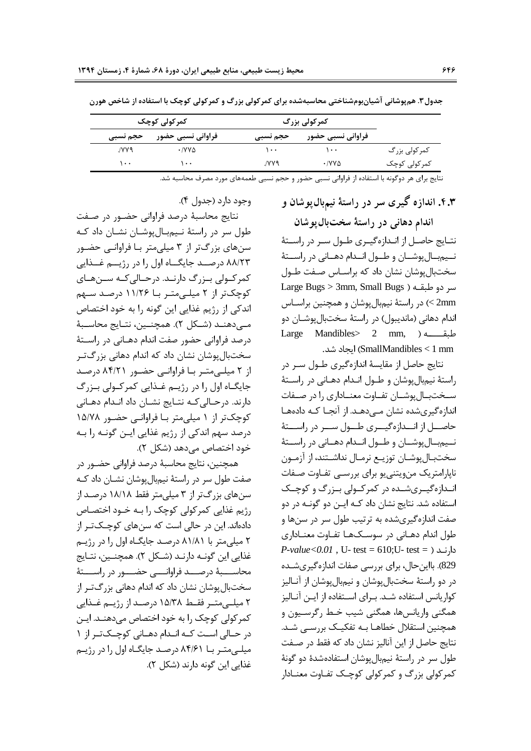$( f , f )$ وجود دارد (جدول

|          | کمرکولی کوچک      |          | کمرکولی بزرگ                 |               |  |
|----------|-------------------|----------|------------------------------|---------------|--|
| حجم نسبي | فراوانی نسبی حضور | حجم نسبي | فراوانی نسبی حضور            |               |  |
| ۷۷۹.     | •/YY∆             | ۰۰۱      | $\cdots$                     | کمر کولی بزرگ |  |
| 1        | ۱۰۰               | ۷۷۹/     | $\cdot$ / $V \vee \triangle$ | کمرکولی کوچک  |  |

جدول۳. هم پوشانی اشیانبومشناختی محاسبهشده برای کمرکولی بزرگ و کمرکولی کوچک با استفاده از شاخص هورن

نتايج براي هر دوگونه با استفاده از فراواني نسبي حضور و حجم نسبي طعمههاي مورد مصرف محاسبه شد.

**۴.۳.** اندازه کیری سر در راستهٔ نیمبال¢وشان و

اندام دهانی در راستهٔ سختبالپوشان نتـايج حاصـل از انـدازهگيـرى طـول سـر در راسـتهٔ نــيم بـال پوشــان و طــول انــدام دهــاني در راســتهٔ سختبالپوشان نشان داد که براسـاس صـفت طـول سر دو طبقــه ( Large Bugs > 3mm, Small Bugs 2mm >) در راستهٔ نیمبال پوشان و همچنین براسـاس اندام دهانی (ماندیبول) در راستهٔ سختبالپوشـان دو  $\text{Large}$  Mandibles> 2 mm, ) طبقــــــــه . 5 y (SmallMandibles < 1 mm

نتايج حاصل از مقايسهٔ اندازهگيري طـول سـر در راستهٔ نیم.بالپوشان و طــول انــدام دهــانی در راســتهٔ سـختبــالپوشــان تفــاوت معنــادارى را در صــفات اندازهگیریشده نشان مـیدهـد. از آنجـا کـه دادههـا حاصـــل از انـــدازهگیـــری طـــول ســـر در راســـتهٔ نــيم بـال پوشــان و طــول انــدام دهــاني در راســتهٔ سختبـالپوشـان توزيــع نرمـال نداشــتند، از آزمــون ناپارامتریک منویتنی یو برای بررسـی تفـاوت صـفات انـدازهگیـریشـده در کمرکـولی بـزرگ و کوچـک استفاده شد. نتایج نشان داد کـه ایــن دو گونــه در دو صفت اندازهگیریشده به ترتیب طول سر در سنها و طول اندام دهـانی در سوسـكهـا تفـاوت معنـاداری  $P\text{-}value < 0.01$ , U- test = 610;U- test = ) دارند 829). بااین حال، برای بررسی صفات اندازهگیریشـده در دو راستهٔ سختبالپوشان و نیمبالپوشان از آنـالیز كواريانس استفاده شـد. بـراي اسـتفاده از ايـن آنـاليز همگنی واریانسها، همگنی شیب خـط رگرسـیون و همچنین استقلال خطاهـا بـه تفکیـک بررسـی شـد. نتايج حاصل از اين آناليز نشان داد كه فقط در صـفت طول سر در راستهٔ نیمبال پوشان استفادهشدهٔ دو گونهٔ کمرکولی بزرگ و کمرکولی کوچـک تفـاوت معنــادار

نتايج محاسبهٔ درصد فراواني حضـور در صـفت طول سر در راستهٔ نـیمبـالپوشـان نشـان داد کـه سنهای بزرگتر از ۳ میلی متر بـا فراوانـی حضـور ۸۸/۲۳ درصـد جایگـاه اول را در رژیــم غــذایی کمر کــولی بــزرگ دارنــد. درحــالی کــه ســنهــای کوچکتر از ۲ میلے متـر بـا ۱۱/۲۶ درصـد سـهم اندکی از رژیم غذایی این گونه را به خود اختصاص مــیدهنــد (شــکل ۲). همچنــین، نتــایج محاســبهٔ درصد فراوانی حضور صفت اندام دهـانی در راسـتهٔ سختبال پوشان نشان داد که اندام دهانی بزرگتر از ۲ میلیمتر با فراوانی حضور ۸۴/۲۱ درصد جایگــاه اول را در رژیــم غــذایی کمرکــولی بــزرگ دارند. درحـالىكــه نتــايج نشــان داد انــدام دهــانى کوچکتر از ۱ میلی متر با فراوانے حضور ۱۵/۷۸ درصد سهم اندکی از رژیم غذایی ایـن گونـه را بـه خود اختصاص مے دھد (شکل ۲).

همچنین، نتایج محاسبهٔ درصد فراوانی حضـور در صفت طول سر در راستهٔ نیمبالپوشان نشــان داد کــه سنهای بزرگتر از ۳ میلی متر فقط ۱۸/۱۸ درصـد از رژیم غذایی کمرکولی کوچک را بـه خــود اختصــاص دادهاند. این در حالی است که سنهای کوچکتر از ۲ میلی متر با ۸۱/۸۱ درصد جایگاه اول را در رژیم غذايي اين گونــه دارنــد (شـكل ٢). همچنــين، نتــايج محاســـــبهٔ درصــــد فراوانـــــی حضــــور در راســــتهٔ سختبال پوشان نشان داد که اندام دهانی بزرگ تـر از ۲ میلے متــر فقــط ۱۵/۳۸ درصــد از رژیــم غــذایی کمر کولی کوچک را به خود اختصاص میدهنــد. ایــن در حـالى اسـت كـه انـدام دهـانى كوچـكتـر از ١ میلے متبر بنا ۸۴/۶۱ درصد جایگناه اول را در رژینم غذايي اين گونه دارند (شكل ٢).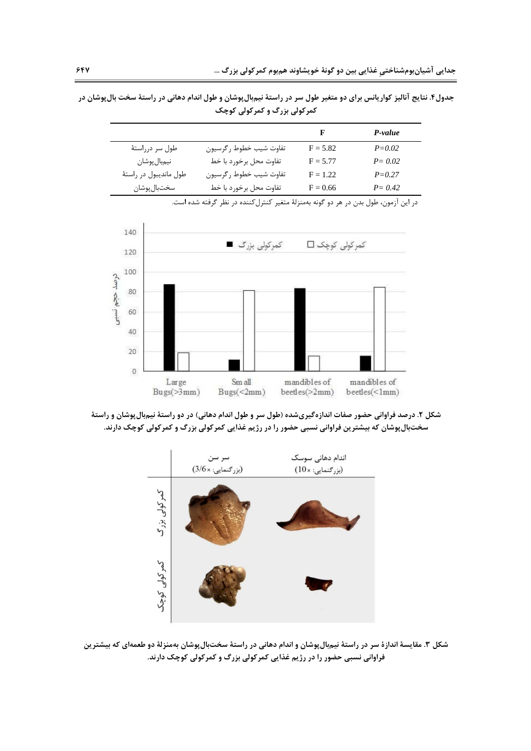جدول۴. نتایج انالیز کواریانس برای دو متغیر طول سر در راستهٔ نیم**.بالپوشان و طول اندام دهانی در راستهٔ سخت بالپوشان در** کمر کولی بزرگ و کمرکولی کوچک

|                        |                        |                   | P-value    |
|------------------------|------------------------|-------------------|------------|
| طول سر درراستهٔ        | تفاوت شيب خطوط رگرسيون | $F = 5.82$        | $P = 0.02$ |
| نيمبال پوشان           | تفاوت محل برخورد با خط | $F = 5.77$        | $P = 0.02$ |
| طول مانديبول در راستهٔ | تفاوت شيب خطوط رگرسيون | $\mathrm{F}=1.22$ | $P = 0.27$ |
| سختبال پوشان           | تفاوت محل برخورد با خط | $F = 0.66$        | $P = 0.42$ |

در این آزمون، طول بدن در هر دو گونه بهمنزلهٔ متغیر کنترل کننده در نظر گرفته شده است.



شکل ۲. درصد فراوانی حضور صفات اندازهگیریشده (طول سر و طول اندام دهانی) در دو راستهٔ نیم**،بال پوشان و راستهٔ** سخت**بال پوشان که بیشترین فراوانی نسبی حضور را در رژیم غذایی کمرکولی بزرگ و کمرکولی کوچک دارند.** 



شکل ۳. مقایسهٔ اندازهٔ سر در راستهٔ نیم؛الپوشان و اندام دهانی در راستهٔ سختبالپوشان بهمنزلهٔ دو طعمهای که بیشترین فراوانی نسبی حضور را در رژیم غذایی کمرکولی بزرگ و کمرکولی کوچک دارند.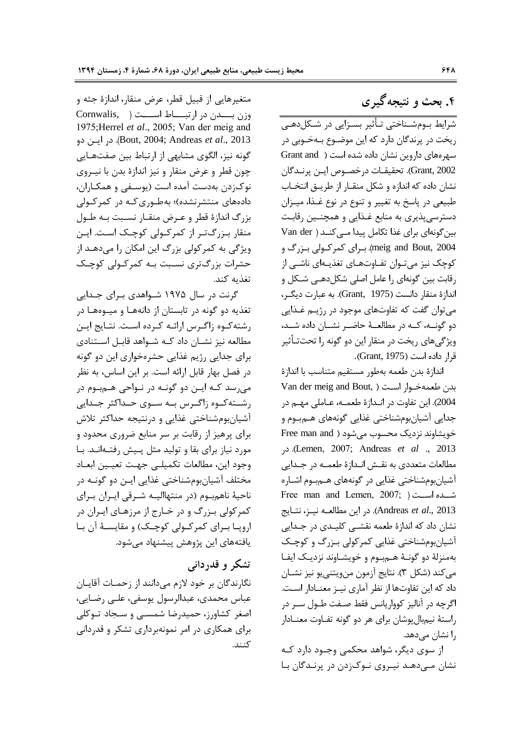۴. بحث و نتیجه گیر ی

شرایط بـومشـناختی تـأثیر بسـزایی در شـكلدهـی ریخت در پرندگان دارد که این موضـوع بــهخــوبی در سهرههای داروین نشان داده شده است ( Grant and Grant, 2002). تحقيقـات درخصــوص ايــن پرنــدگان نشان داده که اندازه و شکل منقـار از طريــق انتخــاب طبیعی در پاسخ به تغییر و تنوع در نوع غـذا، میـزان دسترسیپذیری به منابع غـذایی و همچنـین رقابـت بین گونهای برای غذا تکامل پیدا مے کنـد ( Van der meig and Bout, 2004). برای کمرکولی بزرگ و کوچک نیز میتـوان تفـاوتهـای تغذیـهای ناشـی از رقابت بين گونهاي را عامل اصلي شكلدهـي شـكل و اندازهٔ منقار دانست (Grant, 1975). به عبارت دیگـر، میتوان گفت که تفاوتهای موجود در رژیـم غـذایی دو گونــه، كــه در مطالعــهٔ حاضــر نشــان داده شــد، ویژگیهای ریخت در منقار این دو گونه را تحتتـأثیر قرار داده است (Grant, 1975).

اندازهٔ بدن طعمه بهطور مستقیم متناسب با اندازهٔ بدن طعمهخـوار اسـت ( ,Van der meig and Bout 2004). این تفاوت در انـدازهٔ طعمــه، عــاملی مهــم در جدایی آشیانبومشناختی غذایی گونههای هــم.بوم و Free man and ) حویشاوند نزدیک محسوب می شود .( Lemen, 2007; Andreas *et al* ., 2013 مطالعات متعددي به نقش انـدازهٔ طعمـه در جـدايي آشیانبومشناختی غذایی در گونههای هــم.بوم اشــاره Free man and Lemen,  $2007$ ; شده است ( ^@1 \*@ 1 >@+K C (. Andreas *et al*., 2013 نشان داد که اندازهٔ طعمه نقشــی کلیــدی در جــدایی آشیانبومشناختی غذایی کمرکولی بـزرگ و کوچـک بهمنزلهٔ دو گونـهٔ هـمبوم و خویشـاوند نزدیـک ایفـا ميكند (شكل ٣). نتايج آزمون منويتنييو نيز نشـان داد که این تفاوتها از نظر آماری نیـز معنـادار اسـت. اگرچه در آنالیز کوواریانس فقط صـفت طـول سـر در راستهٔ نیمبال پوشان برای هر دو گونه تفـاوت معنــادار را نشان مىدهد.

از سوی دیگر، شواهد محکمی وجـود دارد کـه نشان مـیدهـد نیـروی نـوکزدن در پرنـدگان بـا

متغیرهایی از قبیل قطر، عرض منقار، اندازهٔ جثه و وزن بــــدن در ارتبـــــاط اســــت ( Cornwalis, 1975;Herrel *et al*., 2005; Van der meig and C@ .( Bout, 2004; Andreas *et al*., 2013 گونه نیز، الگوی مشابهی از ارتباط بین صفتهـایی چون قطر و عرض منقار و نیز اندازهٔ بدن با نیـروی نوکزدن بهدست آمده است (يوسـفي و همکـاران، دادههای منتشرنشده)؛ به طوری کـه در کمرکـولی بزرگ اندازهٔ قطر و عـرض منقـار نسـبت بـه طـول منقار بـزرگ<code>تـر از کمرکـولی کوچـک اسـت. ایـن</mark></code> ویژگی به کمرکولی بزرگ این امکان را میدهـد از حشرات بزرگتری نسـبت بـه کمرکـولی کوچـک تغذيه كند.

گرنت در سال ۱۹۷۵ شـواهدی بـرای جـدایی تغذیه دو گونه در تابستان از دانههـا و میــوههـا در رشته كـوه زاگـرس ارائـه كـرده اسـت. نتـايج ايـن مطالعه نیز نشــان داد کــه شــواهد قابــل اســتنادی برای جدایی رژیم غذایی حشرهخواری این دو گونه در فصل بهار قابل ارائه است. بر این اساس، به نظر میرسد کـه ایـن دو گونـه در نـواحی هـم.بوم در رشــته كــوه زاگــرس بــه ســوى حــداكثر جــدايى آشیانبومشناختی غذایی و درنتیجه حداکثر تلاش برای پرهیز از رقابت بر سر منابع ضروری محدود و مورد نیاز برای بقا و تولید مثل پیش رفتهانـد. بـا وجود اين، مطالعات تكميلي جهت تعيين ابعاد مختلف آشیانبومشناختی غذایی ایـن دو گونــه در ناحیهٔ ناهم.بوم (در منتهاالیــه شــرقی ایــران بــرای کمرکولی بـزرگ و در خـارج از مرزهـای ايـران در اروپــا بــراي كمركــولى كوچــك) و مقايســهٔ آن بــا یافتههای این پژوهش پیشنهاد میشود.

## تشکر و قدردان<sub>ی</sub>

نگارندگان بر خود لازم میدانند از زحمـات آقايــان عباس محمدي، عبدالرسول يوسفي، علــي رضـايي، اصغر کشاورز، حمیدرضا شمسـی و سـجاد تـوکلی برای همکاری در امر نمونهبرداری تشکر و قدردانی كنند.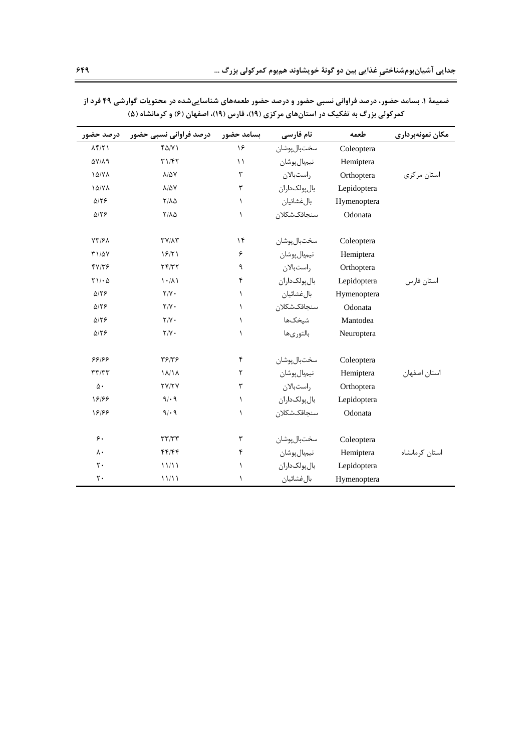| درصد حضور                    | درصد فراوانی نسبی حضور    | بسامد حضور  | نام فارسی     | طعمه        | مكان نمونهبرداري |
|------------------------------|---------------------------|-------------|---------------|-------------|------------------|
| $\Lambda f/\Upsilon$         | $f\Delta/Y$               | ۱۶          | سختبال يوشان  | Coleoptera  |                  |
| $\Delta V/\lambda q$         | T1/FT                     | $\setminus$ | نيمبال پوشان  | Hemiptera   |                  |
| 10/Y                         | $\lambda/\Delta Y$        | ٣           | راستبالان     | Orthoptera  | استان مرکزی      |
| <b><i>ID/VA</i></b>          | $\lambda/\Delta Y$        | ٣           | بال يولکداران | Lepidoptera |                  |
| $\Delta/\Upsilon$            | $Y/\Lambda\Delta$         | $\lambda$   | بالغشائيان    | Hymenoptera |                  |
| $\Delta/\Upsilon$            | $Y/\Lambda\Delta$         | $\lambda$   | سنجاقكشكلان   | Odonata     |                  |
| $YY/\mathcal{F}$             | $TY/\Lambda Y$            | ۱۴          | سختبال پوشان  | Coleoptera  |                  |
| $T1/\Delta V$                | 19/71                     | ۶           | نيمبال پوشان  | Hemiptera   |                  |
| fV/Tf                        | Yf/Y                      | ٩           | راستبالان     | Orthoptera  |                  |
| $Y \setminus / \cdot \Delta$ | $\lambda \cdot / \lambda$ | ۴           | بال پولکداران | Lepidoptera | استان فارس       |
| $\Delta/\Upsilon$            | $\mathbf{Y}/\mathbf{Y}$   | $\lambda$   | بال غشائيان   | Hymenoptera |                  |
| $\Delta/\Upsilon$            | $Y/Y$ .                   | $\lambda$   | سنجاقكشكلان   | Odonata     |                  |
| $\Delta/\Upsilon$            | $Y/Y$ .                   | $\lambda$   | شيخكها        | Mantodea    |                  |
| $\Delta/\Upsilon$            | $Y/Y$ .                   | ١           | بالتورىها     | Neuroptera  |                  |
| 66166                        | ۳۶۱۳۶                     | ۴           | سختبال پوشان  | Coleoptera  |                  |
| $\tau\tau/\tau\tau$          | $\lambda/\lambda/\lambda$ | ٢           | نيمبال پوشان  | Hemiptera   | استان اصفهان     |
| $\Delta \cdot$               | <b>TY/TY</b>              | ٣           | راستبالان     | Orthoptera  |                  |
| 18188                        | 9/19                      | $\lambda$   | بال پولکداران | Lepidoptera |                  |
| 18188                        | 9/19                      | $\lambda$   | سنجاقكشكلان   | Odonata     |                  |
| ۶.                           | $\tau\tau/\tau\tau$       | ٣           | سختبال پوشان  | Coleoptera  |                  |
| $\lambda \cdot$              | 44/44                     | ۴           | نيمبال پوشان  | Hemiptera   | استان کرمانشاه   |
| $\mathsf{r}$ .               | 11/11                     | $\lambda$   | بال پولکداران | Lepidoptera |                  |
| $\mathsf{r}$ .               | 11/11                     | ١           | بالغشائيان    | Hymenoptera |                  |

ضمیمهٔ ۱. بسامد حضور، درصد فراوانی نسبی حضور و درصد حضور طعمههای شناساییشده در محتویات گوارشی ۴۹ فرد از کمرکولی بزرگ به تفکیک در استانهای مرکزی (۱۹)، فارس (۱۹)، اصفهان (۶) و کرمانشاه (۵)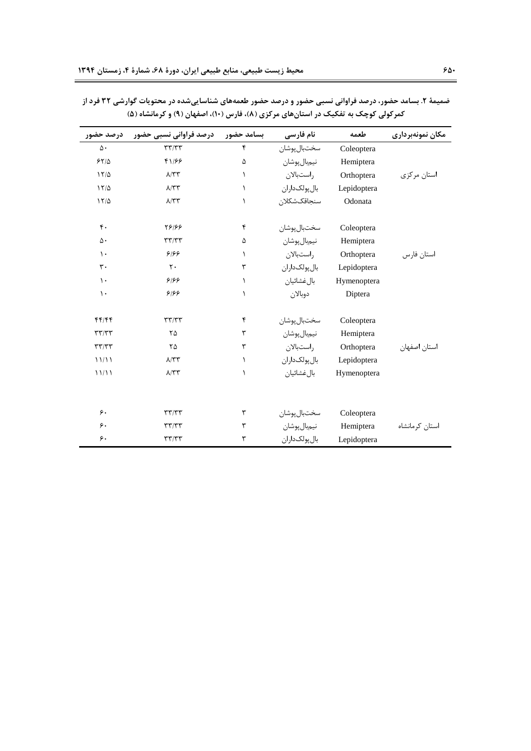| درصد حضور           | درصد فراوانی نسبی حضور     | بسامد حضور | نام فارسی      | طعمه        | مكان نمونهبرداري |
|---------------------|----------------------------|------------|----------------|-------------|------------------|
| $\Delta \cdot$      | $\tau\tau/\tau\tau$        | ۴          | سختبال پوشان   | Coleoptera  |                  |
| 55/2                | 41/99                      | ۵          | نيمبال پوشان   | Hemiptera   |                  |
| $17/\Delta$         | $\Lambda/\Upsilon\Upsilon$ | $\lambda$  | راستبالان      | Orthoptera  | استان مرکزی      |
| $17/\Delta$         | $\Lambda/\Upsilon\Upsilon$ | $\lambda$  | بال یولک داران | Lepidoptera |                  |
| $17/\Delta$         | $\Lambda/\Upsilon\Upsilon$ | $\lambda$  | سنجاقكشكلان    | Odonata     |                  |
| $\mathfrak{r}$ .    | 58199                      | ۴          | سختبال پوشان   | Coleoptera  |                  |
| ۵٠                  | $\tau\tau/\tau\tau$        | ۵          | نيمبال پوشان   | Hemiptera   |                  |
| $\mathcal{L}$       | 8188                       | $\lambda$  | راستبالان      | Orthoptera  | استان فارس       |
| $\mathsf{r}\cdot$   | $\mathsf{r}$ .             | ٣          | بال یولک داران | Lepidoptera |                  |
| $\mathcal{L}$       | 8188                       | $\lambda$  | بالءضائيان     | Hymenoptera |                  |
| $\mathcal{L}$       | 8188                       | $\lambda$  | دوبالان        | Diptera     |                  |
| f(f)/f              | $\tau\tau/\tau\tau$        | ۴          | سختبال پوشان   | Coleoptera  |                  |
| $\tau\tau/\tau\tau$ | ۲۵                         | ٣          | نيمبال پوشان   | Hemiptera   |                  |
| $\tau\tau/\tau\tau$ | ٢۵                         | ٣          | راستبالان      | Orthoptera  | استان اصفهان     |
| 11/11               | $\Lambda/\Upsilon\Upsilon$ | $\lambda$  | بال پولکداران  | Lepidoptera |                  |
| 11/11               | $\Lambda/\Upsilon\Upsilon$ | $\lambda$  | بال غشائيان    | Hymenoptera |                  |
|                     |                            |            |                |             |                  |
| ۶.                  | $\tau\tau/\tau\tau$        | ٣          | سختبال پوشان   | Coleoptera  |                  |
| ۶.                  | $\tau\tau/\tau\tau$        | ٣          | نيمبال پوشان   | Hemiptera   | استان كرمانشاه   |
| ۶.                  | $\tau\tau/\tau\tau$        | ٣          | بال پولکداران  | Lepidoptera |                  |

ضمیمهٔ ۲. بسامد حضور، درصد فراوانی نسبی حضور و درصد حضور طعمههای شناساییشده در محتویات گوارشی ۳۲ فرد از کمرکولی کوچک به تفکیک در استانهای مرکزی (۸)، فارس (۱۰)، اصفهان (۹) و کرمانشاه (۵)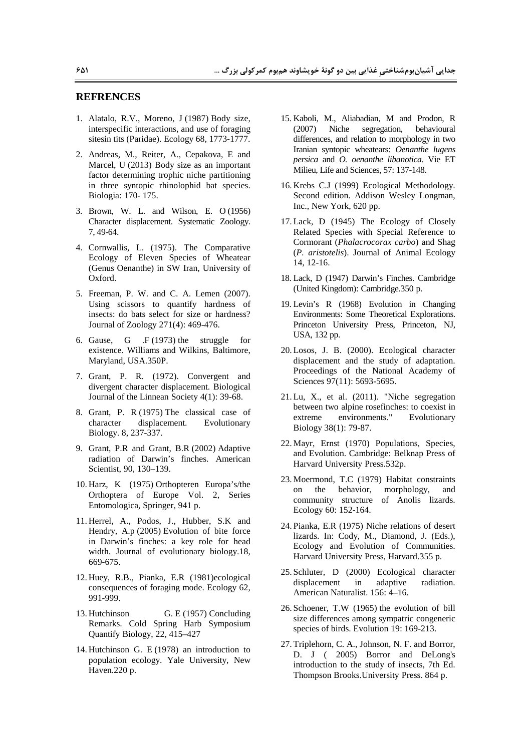#### **REFRENCES**

- 1. Alatalo, R.V., Moreno, J (1987) Body size, interspecific interactions, and use of foraging sitesin tits (Paridae). Ecology 68, 1773-1777.
- 2. Andreas, M., Reiter, A., Cepakova, E and Marcel, U (2013) Body size as an important factor determining trophic niche partitioning in three syntopic rhinolophid bat species. Biologia: 170-175.
- 3. Brown, W. L. and Wilson, E. O (1956) Character displacement. Systematic Zoology. 7.49-64.
- 4. Cornwallis, L. (1975). The Comparative Ecology of Eleven Species of Wheatear (Genus Oenanthe) in SW Iran, University of Oxford.
- 5. Freeman, P. W. and C. A. Lemen (2007). Using scissors to quantify hardness of insects: do bats select for size or hardness? Journal of Zoology 271(4): 469-476.
- 6. Gause. G  $F(1973)$  the struggle for existence. Williams and Wilkins, Baltimore. Maryland, USA.350P.
- 7. Grant, P. R. (1972). Convergent and divergent character displacement. Biological Journal of the Linnean Society 4(1): 39-68.
- 8. Grant, P. R (1975) The classical case of character displacement. Evolutionary Biology. 8, 237-337.
- 9. Grant, P.R and Grant, B.R (2002) Adaptive radiation of Darwin's finches. American Scientist, 90, 130-139.
- 10. Harz, K (1975) Orthopteren Europa's/the Orthoptera of Europe Vol. 2, Series Entomologica, Springer, 941 p.
- 11. Herrel, A., Podos, J., Hubber, S.K and Hendry, A.p (2005) Evolution of bite force in Darwin's finches: a key role for head width. Journal of evolutionary biology.18, 669-675.
- 12. Huey, R.B., Pianka, E.R (1981) ecological consequences of foraging mode. Ecology 62, 991-999.
- 13. Hutchinson G. E (1957) Concluding Remarks. Cold Spring Harb Symposium Quantify Biology, 22, 415-427
- 14. Hutchinson G. E (1978) an introduction to population ecology. Yale University, New Haven.220 p.
- 15. Kaboli, M., Aliabadian, M and Prodon, R segregation, behavioural  $(2007)$ Niche differences, and relation to morphology in two Iranian syntopic wheatears: Oenanthe lugens persica and O. oenanthe libanotica. Vie ET Milieu, Life and Sciences, 57: 137-148.
- 16. Krebs C.J (1999) Ecological Methodology. Second edition. Addison Wesley Longman, Inc., New York, 620 pp.
- 17. Lack, D (1945) The Ecology of Closely Related Species with Special Reference to Cormorant (Phalacrocorax carbo) and Shag (P. aristotelis). Journal of Animal Ecology 14, 12-16.
- 18. Lack, D (1947) Darwin's Finches, Cambridge (United Kingdom): Cambridge.350 p.
- 19. Levin's R (1968) Evolution in Changing Environments: Some Theoretical Explorations. Princeton University Press, Princeton, NJ, USA, 132 pp.
- 20. Losos, J. B. (2000). Ecological character displacement and the study of adaptation. Proceedings of the National Academy of Sciences 97(11): 5693-5695.
- $21.Lu$ , X., et al.  $(2011)$ . "Niche segregation between two alpine rosefinches: to coexist in extreme environments." Evolutionary Biology 38(1): 79-87.
- 22. Mayr, Ernst (1970) Populations, Species, and Evolution. Cambridge: Belknap Press of Harvard University Press.532p.
- 23. Moermond, T.C (1979) Habitat constraints on the behavior, morphology, and community structure of Anolis lizards. Ecology 60: 152-164.
- 24. Pianka, E.R (1975) Niche relations of desert lizards. In: Cody, M., Diamond, J. (Eds.), Ecology and Evolution of Communities. Harvard University Press, Harvard.355 p.
- 25. Schluter, D (2000) Ecological character displacement radiation. in adaptive American Naturalist. 156: 4-16.
- 26. Schoener, T.W (1965) the evolution of bill size differences among sympatric congeneric species of birds. Evolution 19: 169-213.
- 27. Triplehorn, C. A., Johnson, N. F. and Borror, D. J (2005) Borror and DeLong's introduction to the study of insects, 7th Ed. Thompson Brooks. University Press. 864 p.